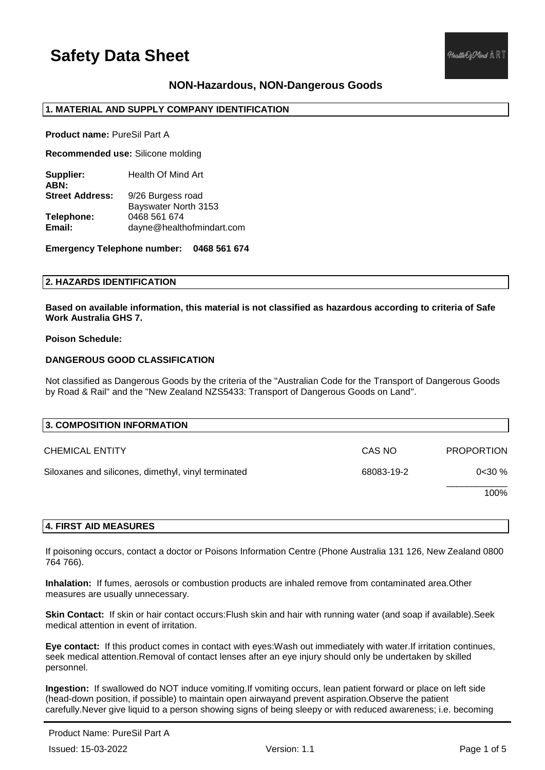## **NON-Hazardous, NON-Dangerous Goods**

## **1. MATERIAL AND SUPPLY COMPANY IDENTIFICATION**

**Product name:** PureSil Part A

**Recommended use:** Silicone molding

**Supplier:** Health Of Mind Art **ABN: Street Address:** 9/26 Burgess road Bayswater North 3153 **Telephone:** 0468 561 674 **Email:** dayne@healthofmindart.com

**Emergency Telephone number: 0468 561 674**

## **2. HAZARDS IDENTIFICATION**

**Based on available information, this material is not classified as hazardous according to criteria of Safe Work Australia GHS 7.**

### **Poison Schedule:**

## **DANGEROUS GOOD CLASSIFICATION**

Not classified as Dangerous Goods by the criteria of the "Australian Code for the Transport of Dangerous Goods by Road & Rail" and the "New Zealand NZS5433: Transport of Dangerous Goods on Land".

| 3. COMPOSITION INFORMATION                          |            |                   |
|-----------------------------------------------------|------------|-------------------|
| <b>CHEMICAL ENTITY</b>                              | CAS NO     | <b>PROPORTION</b> |
| Siloxanes and silicones, dimethyl, vinyl terminated | 68083-19-2 | 0<30%             |
|                                                     |            | 100%              |

### **4. FIRST AID MEASURES**

If poisoning occurs, contact a doctor or Poisons Information Centre (Phone Australia 131 126, New Zealand 0800 764 766).

**Inhalation:** If fumes, aerosols or combustion products are inhaled remove from contaminated area.Other measures are usually unnecessary.

**Skin Contact:** If skin or hair contact occurs:Flush skin and hair with running water (and soap if available).Seek medical attention in event of irritation.

**Eye contact:** If this product comes in contact with eyes:Wash out immediately with water.If irritation continues, seek medical attention.Removal of contact lenses after an eye injury should only be undertaken by skilled personnel.

**Ingestion:** If swallowed do NOT induce vomiting.If vomiting occurs, lean patient forward or place on left side (head-down position, if possible) to maintain open airwayand prevent aspiration.Observe the patient carefully.Never give liquid to a person showing signs of being sleepy or with reduced awareness; i.e. becoming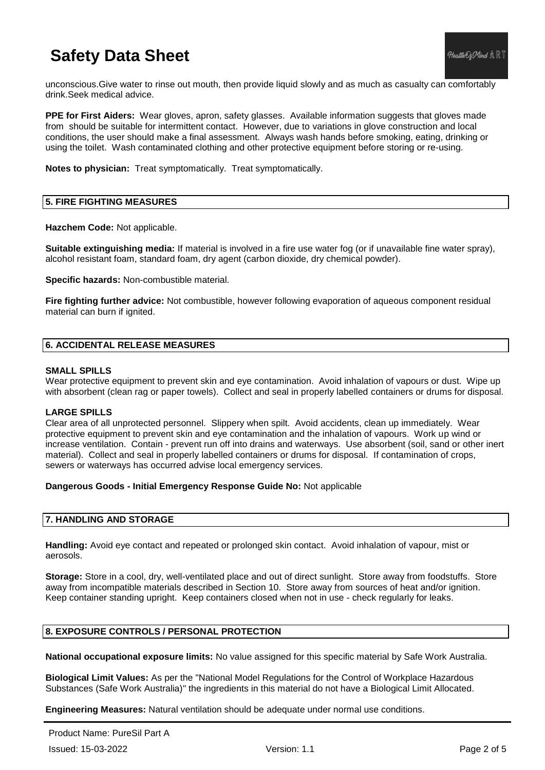unconscious.Give water to rinse out mouth, then provide liquid slowly and as much as casualty can comfortably drink.Seek medical advice.

**PPE for First Aiders:** Wear gloves, apron, safety glasses. Available information suggests that gloves made from should be suitable for intermittent contact. However, due to variations in glove construction and local conditions, the user should make a final assessment. Always wash hands before smoking, eating, drinking or using the toilet. Wash contaminated clothing and other protective equipment before storing or re-using.

**Notes to physician:** Treat symptomatically. Treat symptomatically.

## **5. FIRE FIGHTING MEASURES**

**Hazchem Code:** Not applicable.

**Suitable extinguishing media:** If material is involved in a fire use water fog (or if unavailable fine water spray), alcohol resistant foam, standard foam, dry agent (carbon dioxide, dry chemical powder).

**Specific hazards:** Non-combustible material.

**Fire fighting further advice:** Not combustible, however following evaporation of aqueous component residual material can burn if ignited.

## **6. ACCIDENTAL RELEASE MEASURES**

### **SMALL SPILLS**

Wear protective equipment to prevent skin and eye contamination. Avoid inhalation of vapours or dust. Wipe up with absorbent (clean rag or paper towels). Collect and seal in properly labelled containers or drums for disposal.

### **LARGE SPILLS**

Clear area of all unprotected personnel. Slippery when spilt. Avoid accidents, clean up immediately. Wear protective equipment to prevent skin and eye contamination and the inhalation of vapours. Work up wind or increase ventilation. Contain - prevent run off into drains and waterways. Use absorbent (soil, sand or other inert material). Collect and seal in properly labelled containers or drums for disposal. If contamination of crops, sewers or waterways has occurred advise local emergency services.

### **Dangerous Goods - Initial Emergency Response Guide No:** Not applicable

### **7. HANDLING AND STORAGE**

**Handling:** Avoid eye contact and repeated or prolonged skin contact. Avoid inhalation of vapour, mist or aerosols.

**Storage:** Store in a cool, dry, well-ventilated place and out of direct sunlight. Store away from foodstuffs. Store away from incompatible materials described in Section 10. Store away from sources of heat and/or ignition. Keep container standing upright. Keep containers closed when not in use - check regularly for leaks.

## **8. EXPOSURE CONTROLS / PERSONAL PROTECTION**

**National occupational exposure limits:** No value assigned for this specific material by Safe Work Australia.

**Biological Limit Values:** As per the "National Model Regulations for the Control of Workplace Hazardous Substances (Safe Work Australia)" the ingredients in this material do not have a Biological Limit Allocated.

**Engineering Measures:** Natural ventilation should be adequate under normal use conditions.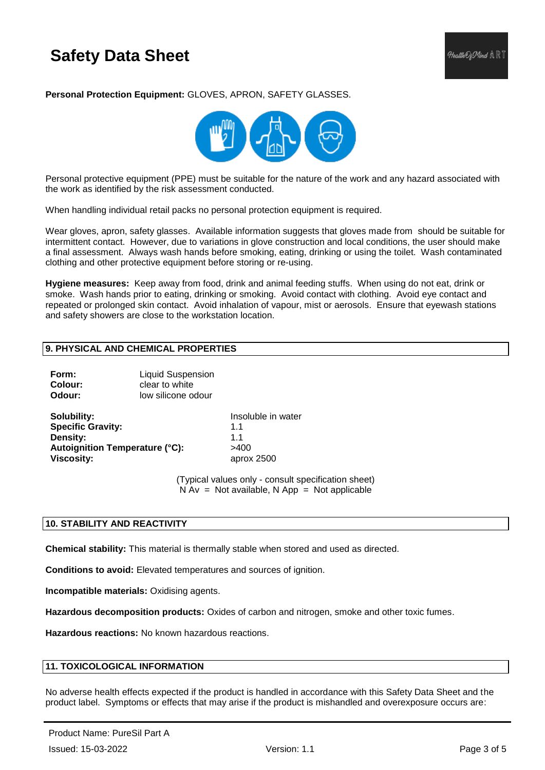**Personal Protection Equipment:** GLOVES, APRON, SAFETY GLASSES.



Personal protective equipment (PPE) must be suitable for the nature of the work and any hazard associated with the work as identified by the risk assessment conducted.

When handling individual retail packs no personal protection equipment is required.

Wear gloves, apron, safety glasses. Available information suggests that gloves made from should be suitable for intermittent contact. However, due to variations in glove construction and local conditions, the user should make a final assessment. Always wash hands before smoking, eating, drinking or using the toilet. Wash contaminated clothing and other protective equipment before storing or re-using.

**Hygiene measures:** Keep away from food, drink and animal feeding stuffs. When using do not eat, drink or smoke. Wash hands prior to eating, drinking or smoking. Avoid contact with clothing. Avoid eye contact and repeated or prolonged skin contact. Avoid inhalation of vapour, mist or aerosols. Ensure that eyewash stations and safety showers are close to the workstation location.

## **9. PHYSICAL AND CHEMICAL PROPERTIES**

**Form:** Liquid Suspension **Colour: clear to white Odour:** low silicone odour

**Solubility:** Insoluble in water **Specific Gravity:** 1.1 **Density:** 1.1 Autoignition Temperature (°C): >400 **Viscosity:** aprox 2500

(Typical values only - consult specification sheet)  $N Av = Not available$ . N App = Not applicable

### **10. STABILITY AND REACTIVITY**

**Chemical stability:** This material is thermally stable when stored and used as directed.

**Conditions to avoid:** Elevated temperatures and sources of ignition.

**Incompatible materials:** Oxidising agents.

**Hazardous decomposition products:** Oxides of carbon and nitrogen, smoke and other toxic fumes.

**Hazardous reactions:** No known hazardous reactions.

## **11. TOXICOLOGICAL INFORMATION**

No adverse health effects expected if the product is handled in accordance with this Safety Data Sheet and the product label. Symptoms or effects that may arise if the product is mishandled and overexposure occurs are: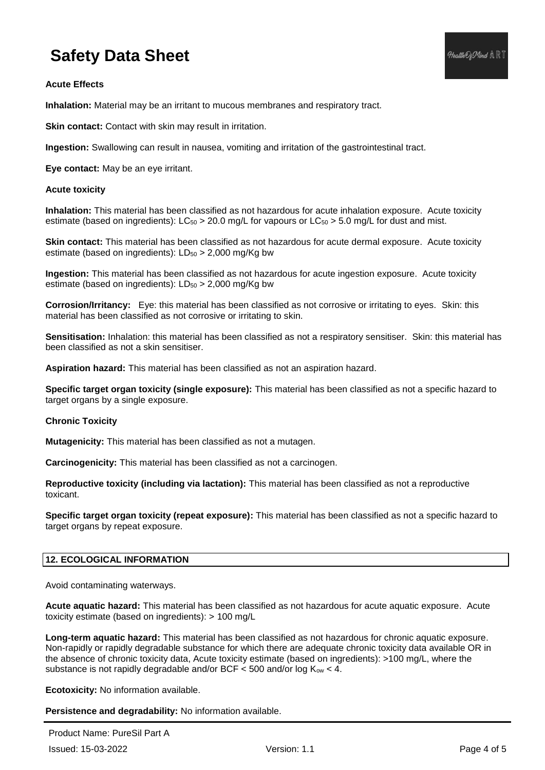**Inhalation:** Material may be an irritant to mucous membranes and respiratory tract.

**Skin contact:** Contact with skin may result in irritation.

**Ingestion:** Swallowing can result in nausea, vomiting and irritation of the gastrointestinal tract.

**Eye contact:** May be an eye irritant.

## **Acute toxicity**

**Inhalation:** This material has been classified as not hazardous for acute inhalation exposure. Acute toxicity estimate (based on ingredients):  $LC_{50} > 20.0$  mg/L for vapours or  $LC_{50} > 5.0$  mg/L for dust and mist.

**Skin contact:** This material has been classified as not hazardous for acute dermal exposure. Acute toxicity estimate (based on ingredients):  $LD_{50} > 2,000$  mg/Kg bw

**Ingestion:** This material has been classified as not hazardous for acute ingestion exposure. Acute toxicity estimate (based on ingredients):  $LD_{50} > 2,000$  mg/Kg bw

**Corrosion/Irritancy:** Eye: this material has been classified as not corrosive or irritating to eyes. Skin: this material has been classified as not corrosive or irritating to skin.

**Sensitisation:** Inhalation: this material has been classified as not a respiratory sensitiser. Skin: this material has been classified as not a skin sensitiser.

**Aspiration hazard:** This material has been classified as not an aspiration hazard.

**Specific target organ toxicity (single exposure):** This material has been classified as not a specific hazard to target organs by a single exposure.

### **Chronic Toxicity**

**Mutagenicity:** This material has been classified as not a mutagen.

**Carcinogenicity:** This material has been classified as not a carcinogen.

**Reproductive toxicity (including via lactation):** This material has been classified as not a reproductive toxicant.

**Specific target organ toxicity (repeat exposure):** This material has been classified as not a specific hazard to target organs by repeat exposure.

## **12. ECOLOGICAL INFORMATION**

Avoid contaminating waterways.

**Acute aquatic hazard:** This material has been classified as not hazardous for acute aquatic exposure. Acute toxicity estimate (based on ingredients): > 100 mg/L

**Long-term aquatic hazard:** This material has been classified as not hazardous for chronic aquatic exposure. Non-rapidly or rapidly degradable substance for which there are adequate chronic toxicity data available OR in the absence of chronic toxicity data, Acute toxicity estimate (based on ingredients): >100 mg/L, where the substance is not rapidly degradable and/or BCF  $<$  500 and/or log  $K_{ow}$   $<$  4.

**Ecotoxicity:** No information available.

**Persistence and degradability:** No information available.